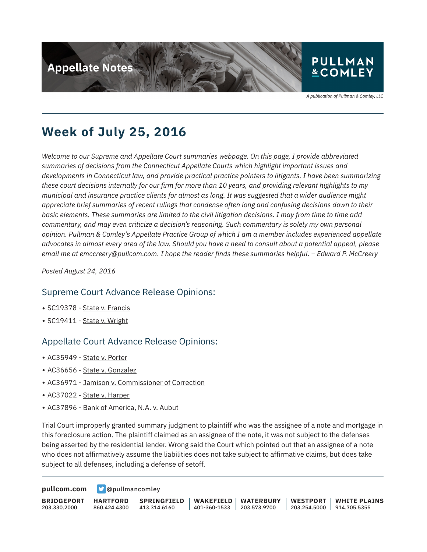

A publication of Pullman & Comley, LLC

# **Week of July 25, 2016**

*Welcome to our Supreme and Appellate Court summaries webpage. On this page, I provide abbreviated summaries of decisions from the Connecticut Appellate Courts which highlight important issues and developments in Connecticut law, and provide practical practice pointers to litigants. I have been summarizing these court decisions internally for our firm for more than 10 years, and providing relevant highlights to my municipal and insurance practice clients for almost as long. It was suggested that a wider audience might appreciate brief summaries of recent rulings that condense often long and confusing decisions down to their basic elements. These summaries are limited to the civil litigation decisions. I may from time to time add commentary, and may even criticize a decision's reasoning. Such commentary is solely my own personal opinion. Pullman & Comley's Appellate Practice Group of which I am a member includes experienced appellate advocates in almost every area of the law. Should you have a need to consult about a potential appeal, please email me at emccreery@pullcom.com. I hope the reader finds these summaries helpful. – Edward P. McCreery*

*Posted August 24, 2016*

### Supreme Court Advance Release Opinions:

- SC19378 State v. Francis
- SC19411 State v. Wright

### Appellate Court Advance Release Opinions:

- AC35949 State v. Porter
- AC36656 State v. Gonzalez
- AC36971 Jamison v. Commissioner of Correction
- AC37022 State v. Harper
- AC37896 Bank of America, N.A. v. Aubut

Trial Court improperly granted summary judgment to plaintiff who was the assignee of a note and mortgage in this foreclosure action. The plaintiff claimed as an assignee of the note, it was not subject to the defenses being asserted by the residential lender. Wrong said the Court which pointed out that an assignee of a note who does not affirmatively assume the liabilities does not take subject to affirmative claims, but does take subject to all defenses, including a defense of setoff.

**[pullcom.com](https://www.pullcom.com) g** [@pullmancomley](https://twitter.com/PullmanComley)

**BRIDGEPORT** 203.330.2000 **HARTFORD** 860.424.4300 **SPRINGFIELD** 413.314.6160 **WAKEFIELD** 401-360-1533 **WATERBURY** 203.573.9700 **WESTPORT** 203.254.5000 914.705.5355 **WHITE PLAINS**